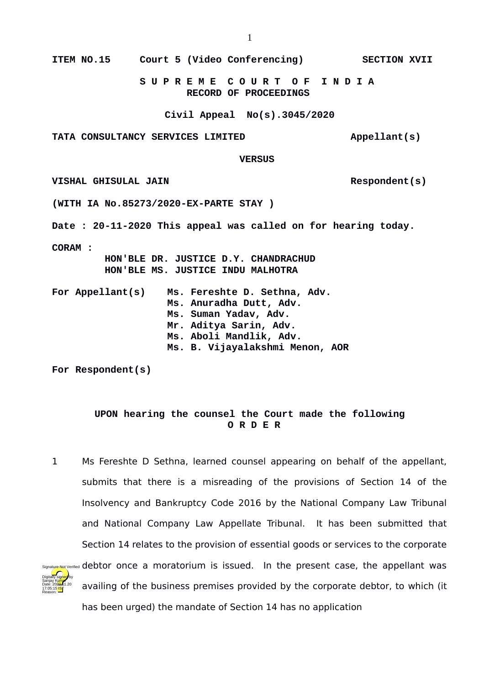**S U P R E M E C O U R T O F I N D I A RECORD OF PROCEEDINGS**

**Civil Appeal No(s).3045/2020**

**TATA CONSULTANCY SERVICES LIMITED Appellant(s)**

 **VERSUS**

**VISHAL GHISULAL JAIN Respondent(s)**

**(WITH IA No.85273/2020-EX-PARTE STAY )**

**Date : 20-11-2020 This appeal was called on for hearing today.**

**CORAM :** 

 **HON'BLE DR. JUSTICE D.Y. CHANDRACHUD HON'BLE MS. JUSTICE INDU MALHOTRA**

|  | For Appellant(s) | Ms. Fereshte D. Sethna, Adv.    |
|--|------------------|---------------------------------|
|  |                  | Ms. Anuradha Dutt, Adv.         |
|  |                  | Ms. Suman Yadav, Adv.           |
|  |                  | Mr. Aditya Sarin, Adv.          |
|  |                  | Ms. Aboli Mandlik, Adv.         |
|  |                  | Ms. B. Vijayalakshmi Menon, AOR |

**For Respondent(s)**

## **UPON hearing the counsel the Court made the following O R D E R**

1 Ms Fereshte D Sethna, learned counsel appearing on behalf of the appellant, submits that there is a misreading of the provisions of Section 14 of the Insolvency and Bankruptcy Code 2016 by the National Company Law Tribunal and National Company Law Appellate Tribunal. It has been submitted that Section 14 relates to the provision of essential goods or services to the corporate signaly entique Not Verified debtor once a moratorium is issued. In the present case, the appellant was availing of the business premises provided by the corporate debtor, to which (it has been urged) the mandate of Section 14 has no application Digitally signed by Sanjay Kumar Date: 2020.11.20 17:05:15<sup>1ST</sup> Reason: